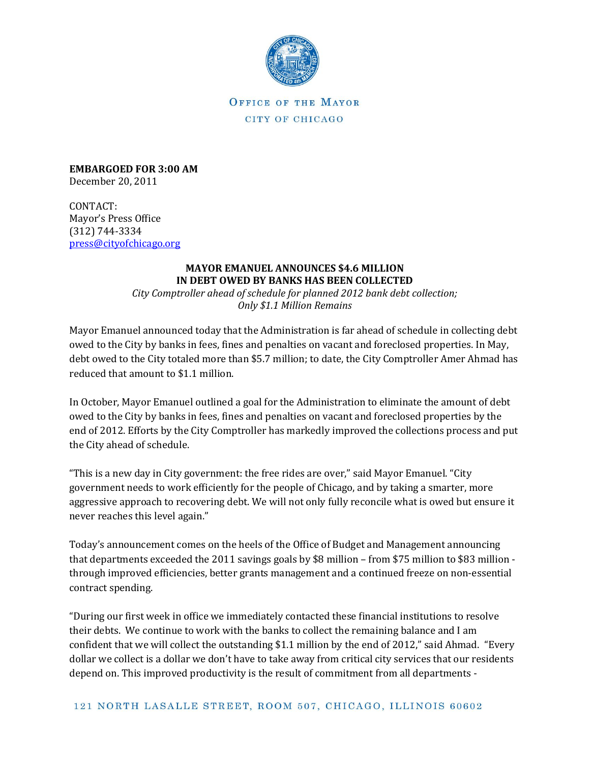

OFFICE OF THE MAYOR CITY OF CHICAGO

**EMBARGOED FOR 3:00 AM** December 20, 2011

CONTACT: Mayor's Press Office (312) 744-3334 [press@cityofchicago.org](mailto:press@cityofchicago.org)

## **MAYOR EMANUEL ANNOUNCES \$4.6 MILLION IN DEBT OWED BY BANKS HAS BEEN COLLECTED**

*City Comptroller ahead of schedule for planned 2012 bank debt collection; Only \$1.1 Million Remains*

Mayor Emanuel announced today that the Administration is far ahead of schedule in collecting debt owed to the City by banks in fees, fines and penalties on vacant and foreclosed properties. In May, debt owed to the City totaled more than \$5.7 million; to date, the City Comptroller Amer Ahmad has reduced that amount to \$1.1 million.

In October, Mayor Emanuel outlined a goal for the Administration to eliminate the amount of debt owed to the City by banks in fees, fines and penalties on vacant and foreclosed properties by the end of 2012. Efforts by the City Comptroller has markedly improved the collections process and put the City ahead of schedule.

"This is a new day in City government: the free rides are over," said Mayor Emanuel. "City government needs to work efficiently for the people of Chicago, and by taking a smarter, more aggressive approach to recovering debt. We will not only fully reconcile what is owed but ensure it never reaches this level again."

Today's announcement comes on the heels of the Office of Budget and Management announcing that departments exceeded the 2011 savings goals by \$8 million – from \$75 million to \$83 million through improved efficiencies, better grants management and a continued freeze on non-essential contract spending.

"During our first week in office we immediately contacted these financial institutions to resolve their debts. We continue to work with the banks to collect the remaining balance and I am confident that we will collect the outstanding \$1.1 million by the end of 2012," said Ahmad. "Every dollar we collect is a dollar we don't have to take away from critical city services that our residents depend on. This improved productivity is the result of commitment from all departments -